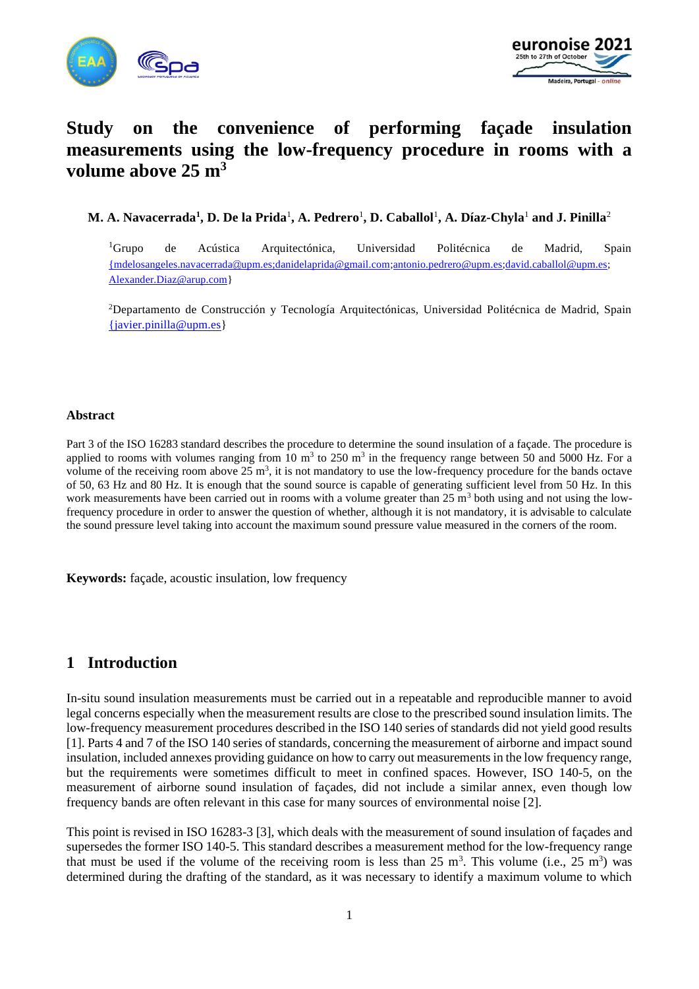



# **Study on the convenience of performing façade insulation measurements using the low-frequency procedure in rooms with a volume above 25 m<sup>3</sup>**

**M. A. Navacerrada<sup>1</sup> , D. De la Prida**<sup>1</sup> **, A. Pedrero**<sup>1</sup> **, D. Caballol**<sup>1</sup> **, A. Díaz-Chyla**<sup>1</sup> **and J. Pinilla**<sup>2</sup>

<sup>1</sup>Grupo de Acústica Arquitectónica, Universidad Politécnica de Madrid, Spain {mdelosangeles.navacerrada@[upm.es;danidelaprida@gmail.com;](mailto:%7bmdelosangeles.navacerrada@upm.es;danidelaprida@gmail.com)[antonio.pedrero@upm.es](mailto:antonio.pedrero@upm.es)[;david.caballol@upm.es;](mailto:david.caballol@upm.es) [Alexander.Diaz@arup.com}](mailto:Alexander.Diaz@arup.com)

<sup>2</sup>Departamento de Construcción y Tecnología Arquitectónicas, Universidad Politécnica de Madrid, Spain [{javier.pinilla@upm.es}](mailto:%7bjavier.pinilla@upm.es)

#### **Abstract**

Part 3 of the ISO 16283 standard describes the procedure to determine the sound insulation of a façade. The procedure is applied to rooms with volumes ranging from 10  $m<sup>3</sup>$  to 250  $m<sup>3</sup>$  in the frequency range between 50 and 5000 Hz. For a volume of the receiving room above  $25 \text{ m}^3$ , it is not mandatory to use the low-frequency procedure for the bands octave of 50, 63 Hz and 80 Hz. It is enough that the sound source is capable of generating sufficient level from 50 Hz. In this work measurements have been carried out in rooms with a volume greater than  $25 \text{ m}^3$  both using and not using the lowfrequency procedure in order to answer the question of whether, although it is not mandatory, it is advisable to calculate the sound pressure level taking into account the maximum sound pressure value measured in the corners of the room.

**Keywords:** façade, acoustic insulation, low frequency

## **1 Introduction**

In-situ sound insulation measurements must be carried out in a repeatable and reproducible manner to avoid legal concerns especially when the measurement results are close to the prescribed sound insulation limits. The low-frequency measurement procedures described in the ISO 140 series of standards did not yield good results [1]. Parts 4 and 7 of the ISO 140 series of standards, concerning the measurement of airborne and impact sound insulation, included annexes providing guidance on how to carry out measurements in the low frequency range, but the requirements were sometimes difficult to meet in confined spaces. However, ISO 140-5, on the measurement of airborne sound insulation of façades, did not include a similar annex, even though low frequency bands are often relevant in this case for many sources of environmental noise [2].

This point is revised in ISO 16283-3 [3], which deals with the measurement of sound insulation of façades and supersedes the former ISO 140-5. This standard describes a measurement method for the low-frequency range that must be used if the volume of the receiving room is less than  $25 \text{ m}^3$ . This volume (i.e.,  $25 \text{ m}^3$ ) was determined during the drafting of the standard, as it was necessary to identify a maximum volume to which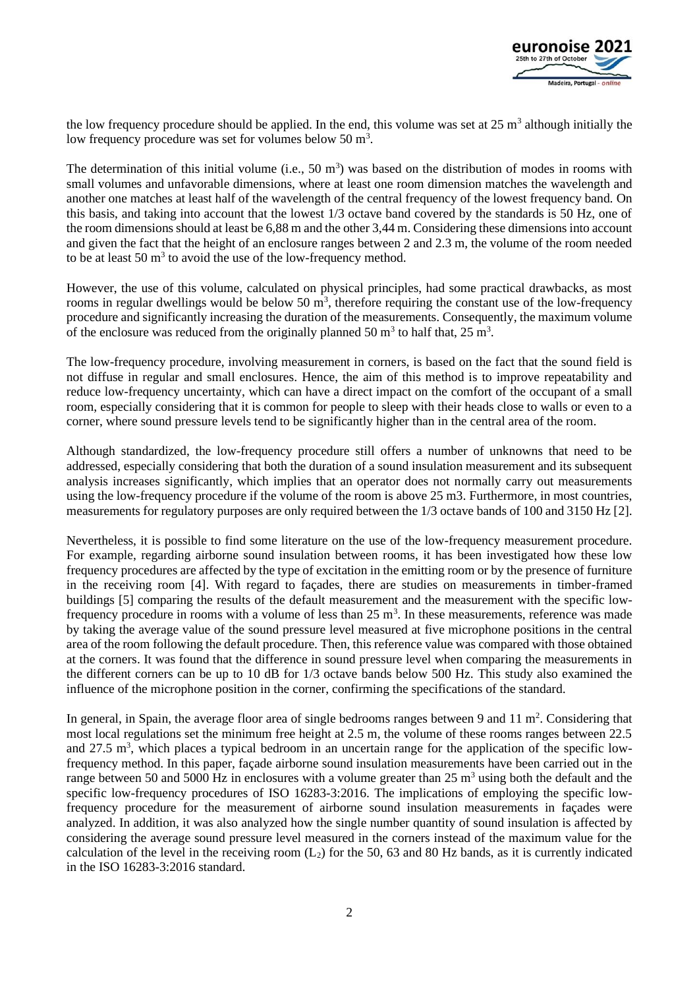

the low frequency procedure should be applied. In the end, this volume was set at  $25 \text{ m}^3$  although initially the low frequency procedure was set for volumes below  $50 \text{ m}^3$ .

The determination of this initial volume (i.e.,  $50 \text{ m}^3$ ) was based on the distribution of modes in rooms with small volumes and unfavorable dimensions, where at least one room dimension matches the wavelength and another one matches at least half of the wavelength of the central frequency of the lowest frequency band. On this basis, and taking into account that the lowest 1/3 octave band covered by the standards is 50 Hz, one of the room dimensions should at least be 6,88 m and the other 3,44 m. Considering these dimensions into account and given the fact that the height of an enclosure ranges between 2 and 2.3 m, the volume of the room needed to be at least 50  $\text{m}^3$  to avoid the use of the low-frequency method.

However, the use of this volume, calculated on physical principles, had some practical drawbacks, as most rooms in regular dwellings would be below 50  $m<sup>3</sup>$ , therefore requiring the constant use of the low-frequency procedure and significantly increasing the duration of the measurements. Consequently, the maximum volume of the enclosure was reduced from the originally planned 50  $\text{m}^3$  to half that, 25  $\text{m}^3$ .

The low-frequency procedure, involving measurement in corners, is based on the fact that the sound field is not diffuse in regular and small enclosures. Hence, the aim of this method is to improve repeatability and reduce low-frequency uncertainty, which can have a direct impact on the comfort of the occupant of a small room, especially considering that it is common for people to sleep with their heads close to walls or even to a corner, where sound pressure levels tend to be significantly higher than in the central area of the room.

Although standardized, the low-frequency procedure still offers a number of unknowns that need to be addressed, especially considering that both the duration of a sound insulation measurement and its subsequent analysis increases significantly, which implies that an operator does not normally carry out measurements using the low-frequency procedure if the volume of the room is above 25 m3. Furthermore, in most countries, measurements for regulatory purposes are only required between the 1/3 octave bands of 100 and 3150 Hz [2].

Nevertheless, it is possible to find some literature on the use of the low-frequency measurement procedure. For example, regarding airborne sound insulation between rooms, it has been investigated how these low frequency procedures are affected by the type of excitation in the emitting room or by the presence of furniture in the receiving room [4]. With regard to façades, there are studies on measurements in timber-framed buildings [5] comparing the results of the default measurement and the measurement with the specific lowfrequency procedure in rooms with a volume of less than  $25 \text{ m}^3$ . In these measurements, reference was made by taking the average value of the sound pressure level measured at five microphone positions in the central area of the room following the default procedure. Then, this reference value was compared with those obtained at the corners. It was found that the difference in sound pressure level when comparing the measurements in the different corners can be up to 10 dB for 1/3 octave bands below 500 Hz. This study also examined the influence of the microphone position in the corner, confirming the specifications of the standard.

In general, in Spain, the average floor area of single bedrooms ranges between 9 and  $11 \text{ m}^2$ . Considering that most local regulations set the minimum free height at 2.5 m, the volume of these rooms ranges between 22.5 and 27.5 m<sup>3</sup>, which places a typical bedroom in an uncertain range for the application of the specific lowfrequency method. In this paper, façade airborne sound insulation measurements have been carried out in the range between 50 and 5000 Hz in enclosures with a volume greater than 25  $\text{m}^3$  using both the default and the specific low-frequency procedures of ISO 16283-3:2016. The implications of employing the specific lowfrequency procedure for the measurement of airborne sound insulation measurements in façades were analyzed. In addition, it was also analyzed how the single number quantity of sound insulation is affected by considering the average sound pressure level measured in the corners instead of the maximum value for the calculation of the level in the receiving room  $(L_2)$  for the 50, 63 and 80 Hz bands, as it is currently indicated in the ISO 16283-3:2016 standard.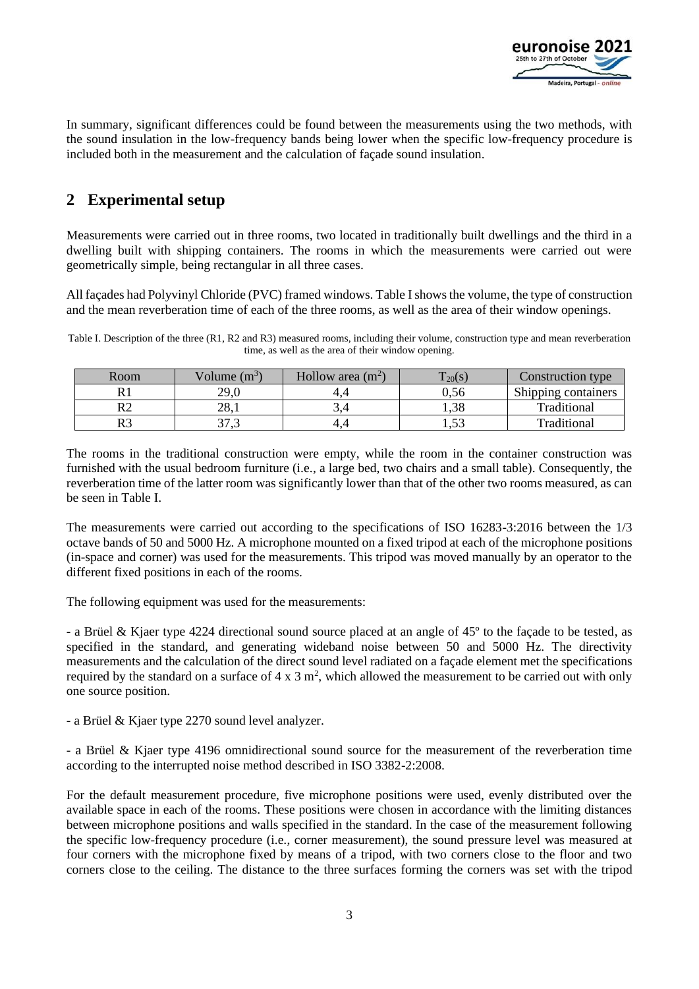

In summary, significant differences could be found between the measurements using the two methods, with the sound insulation in the low-frequency bands being lower when the specific low-frequency procedure is included both in the measurement and the calculation of façade sound insulation.

## **2 Experimental setup**

Measurements were carried out in three rooms, two located in traditionally built dwellings and the third in a dwelling built with shipping containers. The rooms in which the measurements were carried out were geometrically simple, being rectangular in all three cases.

All façades had Polyvinyl Chloride (PVC) framed windows. Table I shows the volume, the type of construction and the mean reverberation time of each of the three rooms, as well as the area of their window openings.

Table I. Description of the three (R1, R2 and R3) measured rooms, including their volume, construction type and mean reverberation time, as well as the area of their window opening.

| Room | Volume $(m^3)$  | Hollow area $(m^2)$ | m.<br>$\frac{1}{20}$ (S) | Construction type          |
|------|-----------------|---------------------|--------------------------|----------------------------|
|      | 29,0            |                     | J.56                     | <b>Shipping containers</b> |
| DΩ   | າວ<br>40.1      | 3.4                 | 1,38                     | Traditional                |
| D2   | $\sim$<br>ر ، ر | 4.                  | $\sim$<br>ر بيد          | Traditional                |

The rooms in the traditional construction were empty, while the room in the container construction was furnished with the usual bedroom furniture (i.e., a large bed, two chairs and a small table). Consequently, the reverberation time of the latter room was significantly lower than that of the other two rooms measured, as can be seen in Table I.

The measurements were carried out according to the specifications of ISO 16283-3:2016 between the 1/3 octave bands of 50 and 5000 Hz. A microphone mounted on a fixed tripod at each of the microphone positions (in-space and corner) was used for the measurements. This tripod was moved manually by an operator to the different fixed positions in each of the rooms.

The following equipment was used for the measurements:

- a Brüel & Kjaer type 4224 directional sound source placed at an angle of 45º to the façade to be tested, as specified in the standard, and generating wideband noise between 50 and 5000 Hz. The directivity measurements and the calculation of the direct sound level radiated on a façade element met the specifications required by the standard on a surface of  $4 \times 3$  m<sup>2</sup>, which allowed the measurement to be carried out with only one source position.

- a Brüel & Kjaer type 2270 sound level analyzer.

- a Brüel & Kjaer type 4196 omnidirectional sound source for the measurement of the reverberation time according to the interrupted noise method described in ISO 3382-2:2008.

For the default measurement procedure, five microphone positions were used, evenly distributed over the available space in each of the rooms. These positions were chosen in accordance with the limiting distances between microphone positions and walls specified in the standard. In the case of the measurement following the specific low-frequency procedure (i.e., corner measurement), the sound pressure level was measured at four corners with the microphone fixed by means of a tripod, with two corners close to the floor and two corners close to the ceiling. The distance to the three surfaces forming the corners was set with the tripod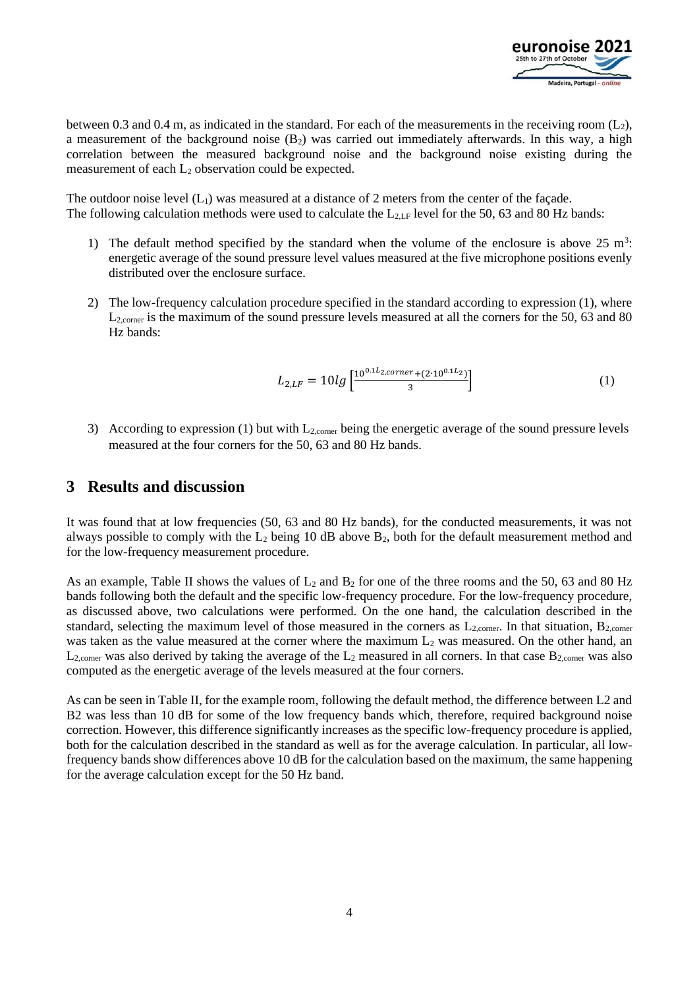

between 0.3 and 0.4 m, as indicated in the standard. For each of the measurements in the receiving room  $(L_2)$ , a measurement of the background noise  $(B_2)$  was carried out immediately afterwards. In this way, a high correlation between the measured background noise and the background noise existing during the measurement of each  $L_2$  observation could be expected.

The outdoor noise level  $(L_1)$  was measured at a distance of 2 meters from the center of the façade. The following calculation methods were used to calculate the  $L_{2,\text{LF}}$  level for the 50, 63 and 80 Hz bands:

- 1) The default method specified by the standard when the volume of the enclosure is above  $25 \text{ m}^3$ : energetic average of the sound pressure level values measured at the five microphone positions evenly distributed over the enclosure surface.
- 2) The low-frequency calculation procedure specified in the standard according to expression (1), where L<sub>2,corner</sub> is the maximum of the sound pressure levels measured at all the corners for the 50, 63 and 80 Hz bands:

$$
L_{2,LF} = 10lg \left[ \frac{10^{0.1L_{2,corner} + (2 \cdot 10^{0.1L_2})}}{3} \right]
$$
 (1)

3) According to expression (1) but with  $L_{2,corner}$  being the energetic average of the sound pressure levels measured at the four corners for the 50, 63 and 80 Hz bands.

#### **3 Results and discussion**

It was found that at low frequencies (50, 63 and 80 Hz bands), for the conducted measurements, it was not always possible to comply with the  $L_2$  being 10 dB above  $B_2$ , both for the default measurement method and for the low-frequency measurement procedure.

As an example, Table II shows the values of  $L_2$  and  $B_2$  for one of the three rooms and the 50, 63 and 80 Hz bands following both the default and the specific low-frequency procedure. For the low-frequency procedure, as discussed above, two calculations were performed. On the one hand, the calculation described in the standard, selecting the maximum level of those measured in the corners as  $L_{2,corner}$ . In that situation,  $B_{2,corner}$ was taken as the value measured at the corner where the maximum  $L_2$  was measured. On the other hand, an  $L_{2,corner}$  was also derived by taking the average of the  $L_2$  measured in all corners. In that case  $B_{2,corner}$  was also computed as the energetic average of the levels measured at the four corners.

As can be seen in Table II, for the example room, following the default method, the difference between L2 and B2 was less than 10 dB for some of the low frequency bands which, therefore, required background noise correction. However, this difference significantly increases as the specific low-frequency procedure is applied, both for the calculation described in the standard as well as for the average calculation. In particular, all lowfrequency bands show differences above 10 dB for the calculation based on the maximum, the same happening for the average calculation except for the 50 Hz band.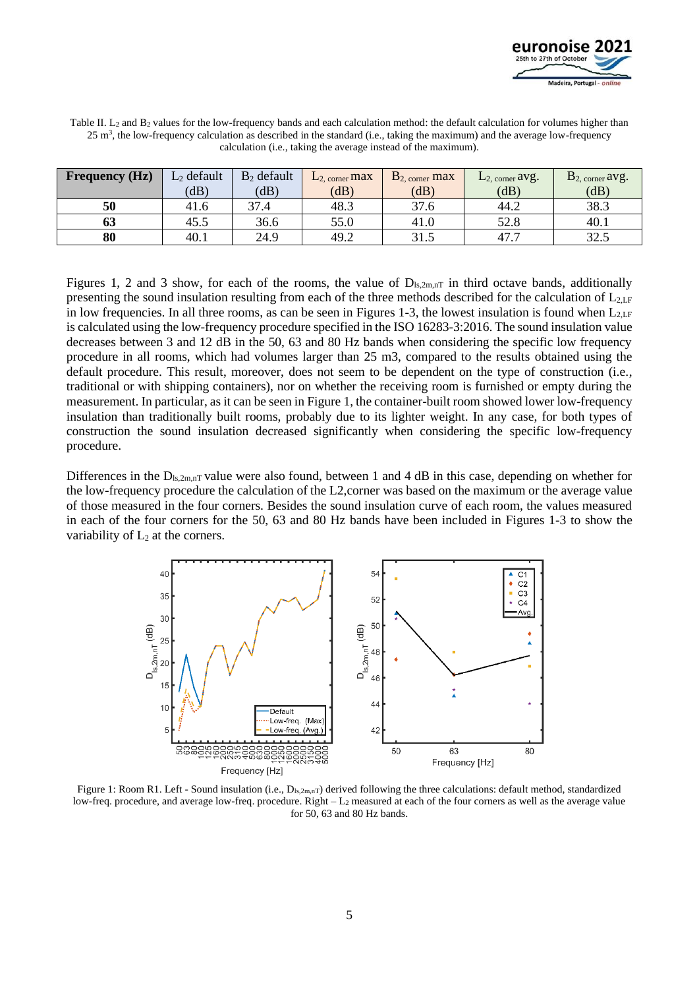

| Table II. L <sub>2</sub> and B <sub>2</sub> values for the low-frequency bands and each calculation method: the default calculation for volumes higher than |
|-------------------------------------------------------------------------------------------------------------------------------------------------------------|
| $25 \text{ m}^3$ , the low-frequency calculation as described in the standard (i.e., taking the maximum) and the average low-frequency                      |
| calculation ( <i>i.e.</i> , taking the average instead of the maximum).                                                                                     |

| <b>Frequency (Hz)</b> | $L_2$ default | $B_2$ default | L <sub>2. corner</sub> max | $B2$ , corner max | $L2$ , corner $avg$ . | $B2$ , corner avg. |
|-----------------------|---------------|---------------|----------------------------|-------------------|-----------------------|--------------------|
|                       | (dB)          | (dB)          | (dB)                       | (dB)              | (dB)                  | (dB)               |
| 50                    | 41.6          | 37.4          | 48.3                       | 37.6              | 44.2                  | 38.3               |
| 63                    | 45.5          | 36.6          | 55.0                       | 41.0              | 52.8                  | 40.1               |
| 80                    | 40.1          | 24.9          | 49.2                       | 31.5              | 47.7                  | 32.5               |

Figures 1, 2 and 3 show, for each of the rooms, the value of  $D_{ls,2m,nT}$  in third octave bands, additionally presenting the sound insulation resulting from each of the three methods described for the calculation of  $L_{2,\text{LF}}$ in low frequencies. In all three rooms, as can be seen in Figures 1-3, the lowest insulation is found when  $L_{2,\text{LF}}$ is calculated using the low-frequency procedure specified in the ISO 16283-3:2016. The sound insulation value decreases between 3 and 12 dB in the 50, 63 and 80 Hz bands when considering the specific low frequency procedure in all rooms, which had volumes larger than 25 m3, compared to the results obtained using the default procedure. This result, moreover, does not seem to be dependent on the type of construction (i.e., traditional or with shipping containers), nor on whether the receiving room is furnished or empty during the measurement. In particular, as it can be seen in Figure 1, the container-built room showed lower low-frequency insulation than traditionally built rooms, probably due to its lighter weight. In any case, for both types of construction the sound insulation decreased significantly when considering the specific low-frequency procedure.

Differences in the  $D_{\text{ls},2\text{m,nT}}$  value were also found, between 1 and 4 dB in this case, depending on whether for the low-frequency procedure the calculation of the L2,corner was based on the maximum or the average value of those measured in the four corners. Besides the sound insulation curve of each room, the values measured in each of the four corners for the 50, 63 and 80 Hz bands have been included in Figures 1-3 to show the variability of  $L_2$  at the corners.



Figure 1: Room R1. Left - Sound insulation (i.e.,  $D_{ls,2m,nT}$ ) derived following the three calculations: default method, standardized low-freq. procedure, and average low-freq. procedure. Right – L<sup>2</sup> measured at each of the four corners as well as the average value for 50, 63 and 80 Hz bands.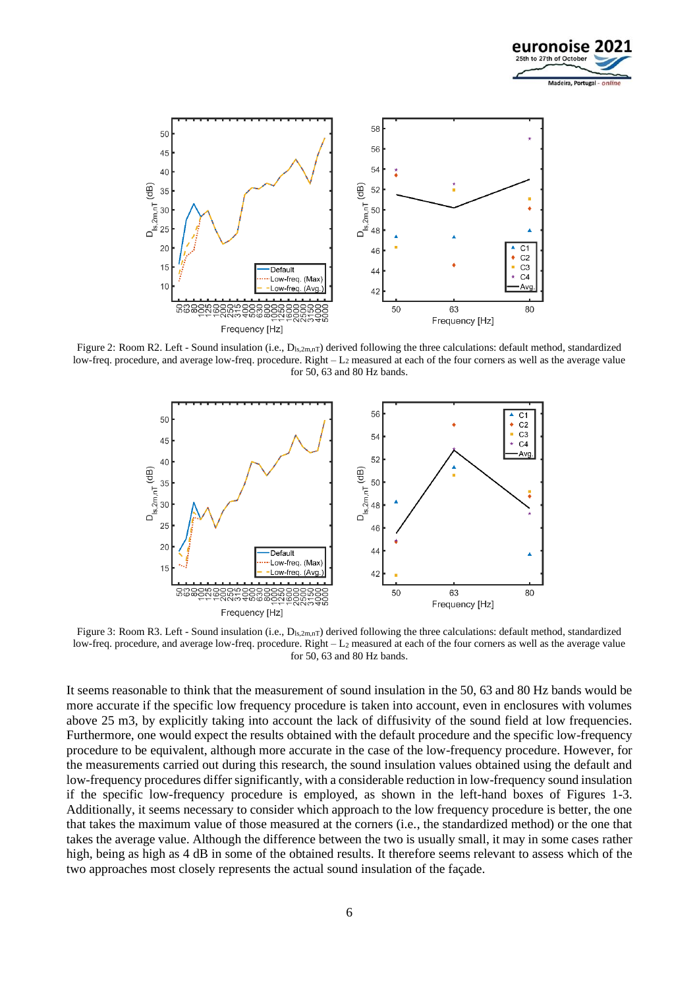



Figure 2: Room R2. Left - Sound insulation (i.e.,  $D_{ls,2m,nT}$ ) derived following the three calculations: default method, standardized low-freq. procedure, and average low-freq. procedure. Right – L<sup>2</sup> measured at each of the four corners as well as the average value for 50, 63 and 80 Hz bands.



Figure 3: Room R3. Left - Sound insulation (i.e.,  $D_{ls,2m,nT}$ ) derived following the three calculations: default method, standardized low-freq. procedure, and average low-freq. procedure. Right – L<sup>2</sup> measured at each of the four corners as well as the average value for 50, 63 and 80 Hz bands.

It seems reasonable to think that the measurement of sound insulation in the 50, 63 and 80 Hz bands would be more accurate if the specific low frequency procedure is taken into account, even in enclosures with volumes above 25 m3, by explicitly taking into account the lack of diffusivity of the sound field at low frequencies. Furthermore, one would expect the results obtained with the default procedure and the specific low-frequency procedure to be equivalent, although more accurate in the case of the low-frequency procedure. However, for the measurements carried out during this research, the sound insulation values obtained using the default and low-frequency procedures differ significantly, with a considerable reduction in low-frequency sound insulation if the specific low-frequency procedure is employed, as shown in the left-hand boxes of Figures 1-3. Additionally, it seems necessary to consider which approach to the low frequency procedure is better, the one that takes the maximum value of those measured at the corners (i.e., the standardized method) or the one that takes the average value. Although the difference between the two is usually small, it may in some cases rather high, being as high as 4 dB in some of the obtained results. It therefore seems relevant to assess which of the two approaches most closely represents the actual sound insulation of the façade.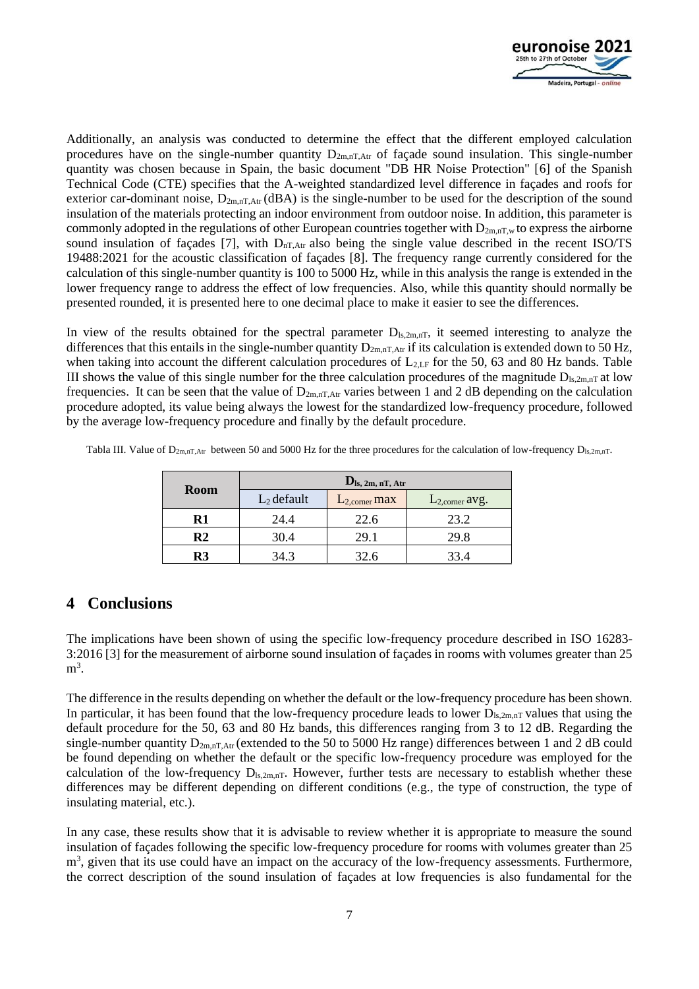

Additionally, an analysis was conducted to determine the effect that the different employed calculation procedures have on the single-number quantity  $D_{2m,nT,Art}$  of façade sound insulation. This single-number quantity was chosen because in Spain, the basic document "DB HR Noise Protection" [6] of the Spanish Technical Code (CTE) specifies that the A-weighted standardized level difference in façades and roofs for exterior car-dominant noise,  $D_{2m,nT,Art}$  (dBA) is the single-number to be used for the description of the sound insulation of the materials protecting an indoor environment from outdoor noise. In addition, this parameter is commonly adopted in the regulations of other European countries together with  $D_{2m,nT,w}$  to express the airborne sound insulation of façades [7], with  $D_{nT,Art}$  also being the single value described in the recent ISO/TS 19488:2021 for the acoustic classification of façades [8]. The frequency range currently considered for the calculation of this single-number quantity is 100 to 5000 Hz, while in this analysis the range is extended in the lower frequency range to address the effect of low frequencies. Also, while this quantity should normally be presented rounded, it is presented here to one decimal place to make it easier to see the differences.

In view of the results obtained for the spectral parameter  $D_{ls,2m,nT}$ , it seemed interesting to analyze the differences that this entails in the single-number quantity  $D_{2m,nT,At}$  if its calculation is extended down to 50 Hz, when taking into account the different calculation procedures of  $L_{2,\text{LF}}$  for the 50, 63 and 80 Hz bands. Table III shows the value of this single number for the three calculation procedures of the magnitude  $D_{\text{ls},2\text{m,nT}}$  at low frequencies. It can be seen that the value of  $D_{2m,nT,Art}$  varies between 1 and 2 dB depending on the calculation procedure adopted, its value being always the lowest for the standardized low-frequency procedure, followed by the average low-frequency procedure and finally by the default procedure.

| <b>Room</b> | $\mathbf{D}_{\rm ls}$ , 2m, nT, Atr |                    |                            |  |  |
|-------------|-------------------------------------|--------------------|----------------------------|--|--|
|             | $L_2$ default                       | $L_{2,corner}$ max | L <sub>2,corner</sub> avg. |  |  |
| R1          | 24.4                                | 22.6               | 23.2                       |  |  |
| R2          | 30.4                                | 29.1               | 29.8                       |  |  |
| R3          | 34.3                                | 32.6               | 33.4                       |  |  |

Tabla III. Value of  $D_{2m,nT,Atr}$  between 50 and 5000 Hz for the three procedures for the calculation of low-frequency  $D_{ls,2m,nT}$ .

## **4 Conclusions**

The implications have been shown of using the specific low-frequency procedure described in ISO 16283- 3:2016 [3] for the measurement of airborne sound insulation of façades in rooms with volumes greater than 25  $m^3$ .

The difference in the results depending on whether the default or the low-frequency procedure has been shown. In particular, it has been found that the low-frequency procedure leads to lower  $D_{ls,2m,nT}$  values that using the default procedure for the 50, 63 and 80 Hz bands, this differences ranging from 3 to 12 dB. Regarding the single-number quantity  $D_{2m,nT,Atr}$  (extended to the 50 to 5000 Hz range) differences between 1 and 2 dB could be found depending on whether the default or the specific low-frequency procedure was employed for the calculation of the low-frequency  $D_{ls,2m,nT}$ . However, further tests are necessary to establish whether these differences may be different depending on different conditions (e.g., the type of construction, the type of insulating material, etc.).

In any case, these results show that it is advisable to review whether it is appropriate to measure the sound insulation of façades following the specific low-frequency procedure for rooms with volumes greater than 25  $m<sup>3</sup>$ , given that its use could have an impact on the accuracy of the low-frequency assessments. Furthermore, the correct description of the sound insulation of façades at low frequencies is also fundamental for the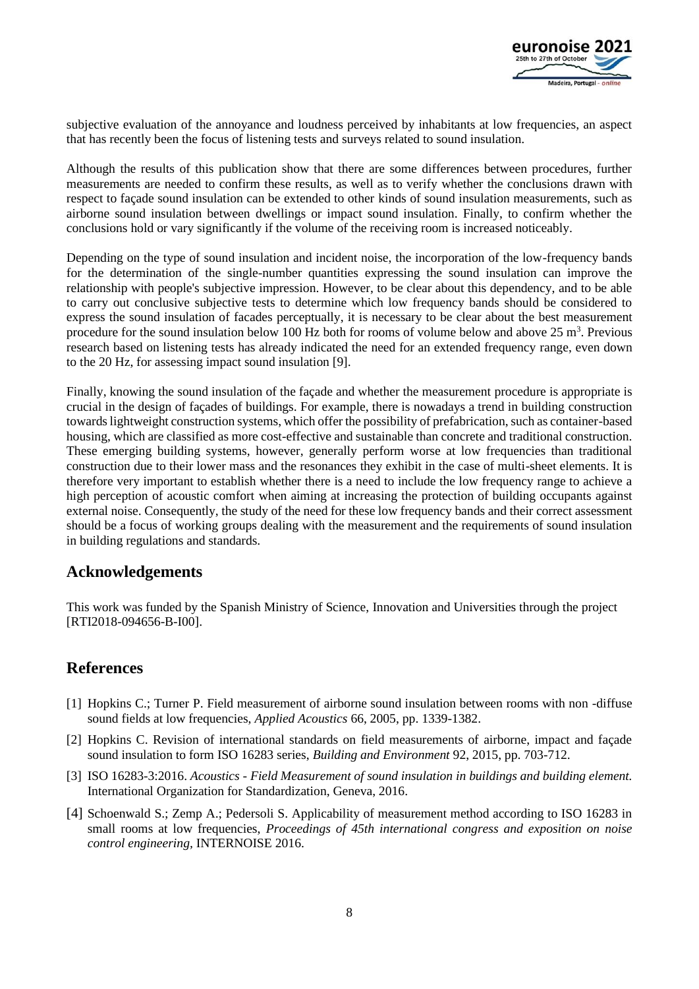

subjective evaluation of the annoyance and loudness perceived by inhabitants at low frequencies, an aspect that has recently been the focus of listening tests and surveys related to sound insulation.

Although the results of this publication show that there are some differences between procedures, further measurements are needed to confirm these results, as well as to verify whether the conclusions drawn with respect to façade sound insulation can be extended to other kinds of sound insulation measurements, such as airborne sound insulation between dwellings or impact sound insulation. Finally, to confirm whether the conclusions hold or vary significantly if the volume of the receiving room is increased noticeably.

Depending on the type of sound insulation and incident noise, the incorporation of the low-frequency bands for the determination of the single-number quantities expressing the sound insulation can improve the relationship with people's subjective impression. However, to be clear about this dependency, and to be able to carry out conclusive subjective tests to determine which low frequency bands should be considered to express the sound insulation of facades perceptually, it is necessary to be clear about the best measurement procedure for the sound insulation below 100 Hz both for rooms of volume below and above  $25 \text{ m}^3$ . Previous research based on listening tests has already indicated the need for an extended frequency range, even down to the 20 Hz, for assessing impact sound insulation [9].

Finally, knowing the sound insulation of the façade and whether the measurement procedure is appropriate is crucial in the design of façades of buildings. For example, there is nowadays a trend in building construction towards lightweight construction systems, which offer the possibility of prefabrication, such as container-based housing, which are classified as more cost-effective and sustainable than concrete and traditional construction. These emerging building systems, however, generally perform worse at low frequencies than traditional construction due to their lower mass and the resonances they exhibit in the case of multi-sheet elements. It is therefore very important to establish whether there is a need to include the low frequency range to achieve a high perception of acoustic comfort when aiming at increasing the protection of building occupants against external noise. Consequently, the study of the need for these low frequency bands and their correct assessment should be a focus of working groups dealing with the measurement and the requirements of sound insulation in building regulations and standards.

### **Acknowledgements**

This work was funded by the Spanish Ministry of Science, Innovation and Universities through the project [RTI2018-094656-B-I00].

## **References**

- [1] Hopkins C.; Turner P. Field measurement of airborne sound insulation between rooms with non -diffuse sound fields at low frequencies, *Applied Acoustics* 66, 2005, pp. 1339-1382.
- [2] Hopkins C. Revision of international standards on field measurements of airborne, impact and façade sound insulation to form ISO 16283 series, *Building and Environment* 92, 2015, pp. 703-712.
- [3] ISO 16283-3:2016. *Acoustics - Field Measurement of sound insulation in buildings and building element.* International Organization for Standardization, Geneva, 2016.
- [4] Schoenwald S.; Zemp A.; Pedersoli S. Applicability of measurement method according to ISO 16283 in small rooms at low frequencies, *Proceedings of 45th international congress and exposition on noise control engineering,* INTERNOISE 2016.